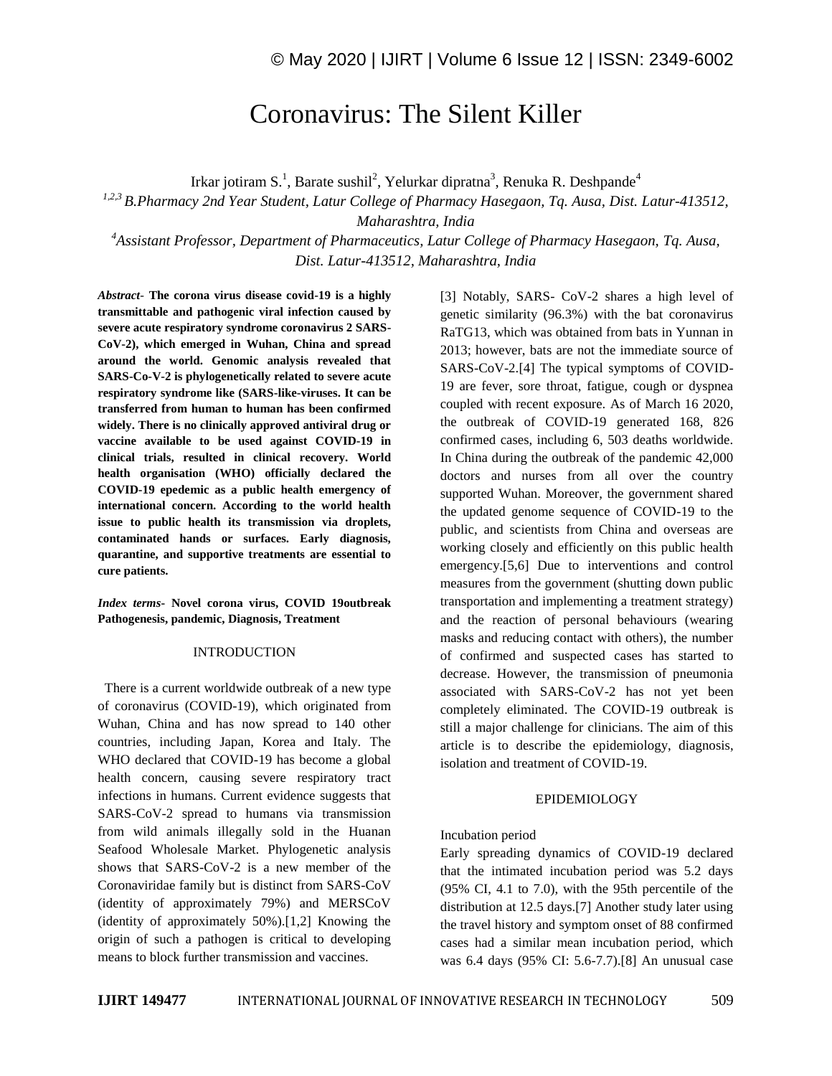# Coronavirus: The Silent Killer

Irkar jotiram S.<sup>1</sup>, Barate sushil<sup>2</sup>, Yelurkar dipratna<sup>3</sup>, Renuka R. Deshpande<sup>4</sup>

*1,2,3 B.Pharmacy 2nd Year Student, Latur College of Pharmacy Hasegaon, Tq. Ausa, Dist. Latur-413512,* 

*Maharashtra, India*

*<sup>4</sup>Assistant Professor, Department of Pharmaceutics, Latur College of Pharmacy Hasegaon, Tq. Ausa, Dist. Latur-413512, Maharashtra, India*

*Abstract*- **The corona virus disease covid-19 is a highly transmittable and pathogenic viral infection caused by severe acute respiratory syndrome coronavirus 2 SARS-CoV-2), which emerged in Wuhan, China and spread around the world. Genomic analysis revealed that SARS-Co-V-2 is phylogenetically related to severe acute respiratory syndrome like (SARS-like-viruses. It can be transferred from human to human has been confirmed widely. There is no clinically approved antiviral drug or vaccine available to be used against COVID-19 in clinical trials, resulted in clinical recovery. World health organisation (WHO) officially declared the COVID-19 epedemic as a public health emergency of international concern. According to the world health issue to public health its transmission via droplets, contaminated hands or surfaces. Early diagnosis, quarantine, and supportive treatments are essential to cure patients.**

*Index terms***- Novel corona virus, COVID 19outbreak Pathogenesis, pandemic, Diagnosis, Treatment**

#### INTRODUCTION

 There is a current worldwide outbreak of a new type of coronavirus (COVID-19), which originated from Wuhan, China and has now spread to 140 other countries, including Japan, Korea and Italy. The WHO declared that COVID-19 has become a global health concern, causing severe respiratory tract infections in humans. Current evidence suggests that SARS-CoV-2 spread to humans via transmission from wild animals illegally sold in the Huanan Seafood Wholesale Market. Phylogenetic analysis shows that SARS-CoV-2 is a new member of the Coronaviridae family but is distinct from SARS-CoV (identity of approximately 79%) and MERSCoV (identity of approximately 50%).[1,2] Knowing the origin of such a pathogen is critical to developing means to block further transmission and vaccines.

[3] Notably, SARS- CoV-2 shares a high level of genetic similarity (96.3%) with the bat coronavirus RaTG13, which was obtained from bats in Yunnan in 2013; however, bats are not the immediate source of SARS-CoV-2.[4] The typical symptoms of COVID-19 are fever, sore throat, fatigue, cough or dyspnea coupled with recent exposure. As of March 16 2020, the outbreak of COVID-19 generated 168, 826 confirmed cases, including 6, 503 deaths worldwide. In China during the outbreak of the pandemic 42,000 doctors and nurses from all over the country supported Wuhan. Moreover, the government shared the updated genome sequence of COVID-19 to the public, and scientists from China and overseas are working closely and efficiently on this public health emergency.[5,6] Due to interventions and control measures from the government (shutting down public transportation and implementing a treatment strategy) and the reaction of personal behaviours (wearing masks and reducing contact with others), the number of confirmed and suspected cases has started to decrease. However, the transmission of pneumonia associated with SARS-CoV-2 has not yet been completely eliminated. The COVID-19 outbreak is still a major challenge for clinicians. The aim of this article is to describe the epidemiology, diagnosis, isolation and treatment of COVID-19.

#### EPIDEMIOLOGY

#### Incubation period

Early spreading dynamics of COVID-19 declared that the intimated incubation period was 5.2 days (95% CI, 4.1 to 7.0), with the 95th percentile of the distribution at 12.5 days.[7] Another study later using the travel history and symptom onset of 88 confirmed cases had a similar mean incubation period, which was 6.4 days (95% CI: 5.6-7.7).[8] An unusual case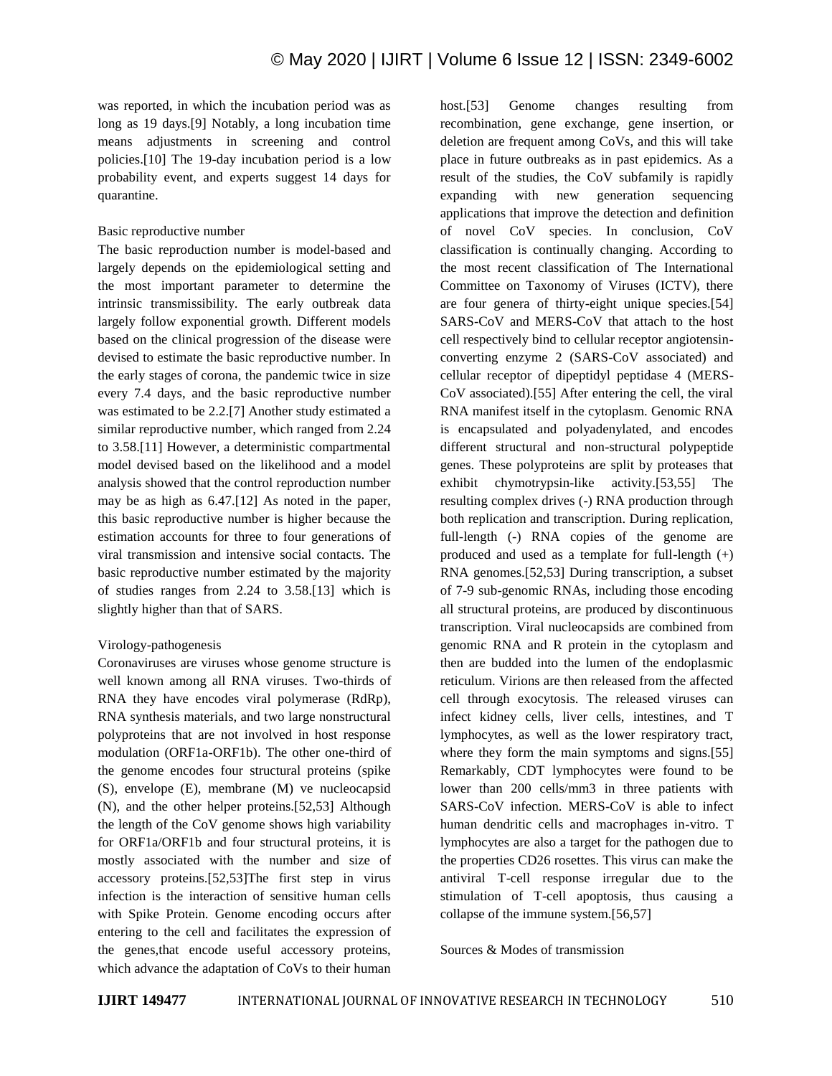was reported, in which the incubation period was as long as 19 days.[9] Notably, a long incubation time means adjustments in screening and control policies.[10] The 19-day incubation period is a low probability event, and experts suggest 14 days for quarantine.

#### Basic reproductive number

The basic reproduction number is model-based and largely depends on the epidemiological setting and the most important parameter to determine the intrinsic transmissibility. The early outbreak data largely follow exponential growth. Different models based on the clinical progression of the disease were devised to estimate the basic reproductive number. In the early stages of corona, the pandemic twice in size every 7.4 days, and the basic reproductive number was estimated to be 2.2.[7] Another study estimated a similar reproductive number, which ranged from 2.24 to 3.58.[11] However, a deterministic compartmental model devised based on the likelihood and a model analysis showed that the control reproduction number may be as high as 6.47.[12] As noted in the paper, this basic reproductive number is higher because the estimation accounts for three to four generations of viral transmission and intensive social contacts. The basic reproductive number estimated by the majority of studies ranges from 2.24 to 3.58.[13] which is slightly higher than that of SARS.

## Virology-pathogenesis

Coronaviruses are viruses whose genome structure is well known among all RNA viruses. Two-thirds of RNA they have encodes viral polymerase (RdRp), RNA synthesis materials, and two large nonstructural polyproteins that are not involved in host response modulation (ORF1a-ORF1b). The other one-third of the genome encodes four structural proteins (spike (S), envelope (E), membrane (M) ve nucleocapsid (N), and the other helper proteins.[52,53] Although the length of the CoV genome shows high variability for ORF1a/ORF1b and four structural proteins, it is mostly associated with the number and size of accessory proteins.[52,53]The first step in virus infection is the interaction of sensitive human cells with Spike Protein. Genome encoding occurs after entering to the cell and facilitates the expression of the genes,that encode useful accessory proteins, which advance the adaptation of CoVs to their human host.[53] Genome changes resulting from recombination, gene exchange, gene insertion, or deletion are frequent among CoVs, and this will take place in future outbreaks as in past epidemics. As a result of the studies, the CoV subfamily is rapidly expanding with new generation sequencing applications that improve the detection and definition of novel CoV species. In conclusion, CoV classification is continually changing. According to the most recent classification of The International Committee on Taxonomy of Viruses (ICTV), there are four genera of thirty-eight unique species.[54] SARS-CoV and MERS-CoV that attach to the host cell respectively bind to cellular receptor angiotensinconverting enzyme 2 (SARS-CoV associated) and cellular receptor of dipeptidyl peptidase 4 (MERS-CoV associated).[55] After entering the cell, the viral RNA manifest itself in the cytoplasm. Genomic RNA is encapsulated and polyadenylated, and encodes different structural and non-structural polypeptide genes. These polyproteins are split by proteases that exhibit chymotrypsin-like activity.[53,55] The resulting complex drives (-) RNA production through both replication and transcription. During replication, full-length (-) RNA copies of the genome are produced and used as a template for full-length  $(+)$ RNA genomes.[52,53] During transcription, a subset of 7-9 sub-genomic RNAs, including those encoding all structural proteins, are produced by discontinuous transcription. Viral nucleocapsids are combined from genomic RNA and R protein in the cytoplasm and then are budded into the lumen of the endoplasmic reticulum. Virions are then released from the affected cell through exocytosis. The released viruses can infect kidney cells, liver cells, intestines, and T lymphocytes, as well as the lower respiratory tract, where they form the main symptoms and signs.[55] Remarkably, CDT lymphocytes were found to be lower than 200 cells/mm3 in three patients with SARS-CoV infection. MERS-CoV is able to infect human dendritic cells and macrophages in-vitro. T lymphocytes are also a target for the pathogen due to the properties CD26 rosettes. This virus can make the antiviral T-cell response irregular due to the stimulation of T-cell apoptosis, thus causing a collapse of the immune system.[56,57]

Sources & Modes of transmission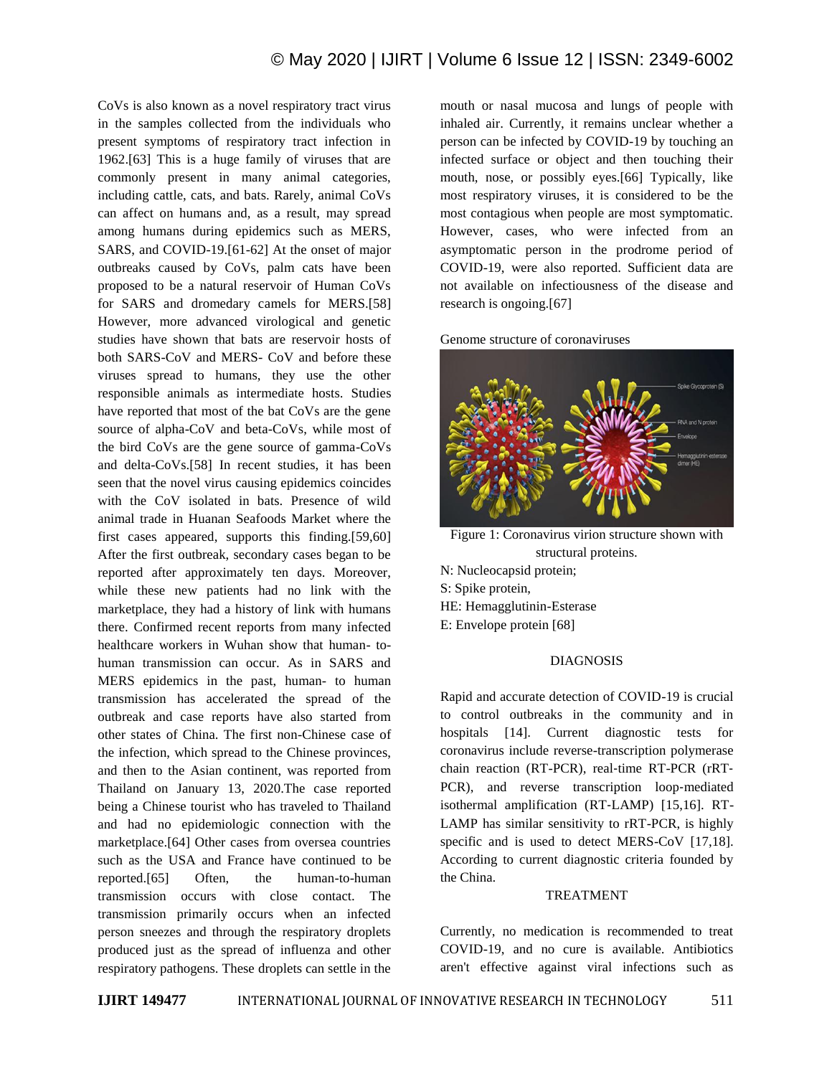CoVs is also known as a novel respiratory tract virus in the samples collected from the individuals who present symptoms of respiratory tract infection in 1962.[63] This is a huge family of viruses that are commonly present in many animal categories, including cattle, cats, and bats. Rarely, animal CoVs can affect on humans and, as a result, may spread among humans during epidemics such as MERS, SARS, and COVID-19.[61-62] At the onset of major outbreaks caused by CoVs, palm cats have been proposed to be a natural reservoir of Human CoVs for SARS and dromedary camels for MERS.[58] However, more advanced virological and genetic studies have shown that bats are reservoir hosts of both SARS-CoV and MERS- CoV and before these viruses spread to humans, they use the other responsible animals as intermediate hosts. Studies have reported that most of the bat CoVs are the gene source of alpha-CoV and beta-CoVs, while most of the bird CoVs are the gene source of gamma-CoVs and delta-CoVs.[58] In recent studies, it has been seen that the novel virus causing epidemics coincides with the CoV isolated in bats. Presence of wild animal trade in Huanan Seafoods Market where the first cases appeared, supports this finding.[59,60] After the first outbreak, secondary cases began to be reported after approximately ten days. Moreover, while these new patients had no link with the marketplace, they had a history of link with humans there. Confirmed recent reports from many infected healthcare workers in Wuhan show that human- tohuman transmission can occur. As in SARS and MERS epidemics in the past, human- to human transmission has accelerated the spread of the outbreak and case reports have also started from other states of China. The first non-Chinese case of the infection, which spread to the Chinese provinces, and then to the Asian continent, was reported from Thailand on January 13, 2020.The case reported being a Chinese tourist who has traveled to Thailand and had no epidemiologic connection with the marketplace.[64] Other cases from oversea countries such as the USA and France have continued to be reported.[65] Often, the human-to-human transmission occurs with close contact. The transmission primarily occurs when an infected person sneezes and through the respiratory droplets produced just as the spread of influenza and other respiratory pathogens. These droplets can settle in the mouth or nasal mucosa and lungs of people with inhaled air. Currently, it remains unclear whether a person can be infected by COVID-19 by touching an infected surface or object and then touching their mouth, nose, or possibly eyes.[66] Typically, like most respiratory viruses, it is considered to be the most contagious when people are most symptomatic. However, cases, who were infected from an asymptomatic person in the prodrome period of COVID-19, were also reported. Sufficient data are not available on infectiousness of the disease and research is ongoing.[67]





Figure 1: Coronavirus virion structure shown with structural proteins.

N: Nucleocapsid protein; S: Spike protein, HE: Hemagglutinin-Esterase E: Envelope protein [68]

## DIAGNOSIS

Rapid and accurate detection of COVID-19 is crucial to control outbreaks in the community and in hospitals [14]. Current diagnostic tests for coronavirus include reverse-transcription polymerase chain reaction (RT-PCR), real-time RT-PCR (rRT-PCR), and reverse transcription loop-mediated isothermal amplification (RT‐LAMP) [15,16]. RT-LAMP has similar sensitivity to rRT-PCR, is highly specific and is used to detect MERS-CoV [17,18]. According to current diagnostic criteria founded by the China.

## TREATMENT

Currently, no medication is recommended to treat COVID-19, and no cure is available. Antibiotics aren't effective against viral infections such as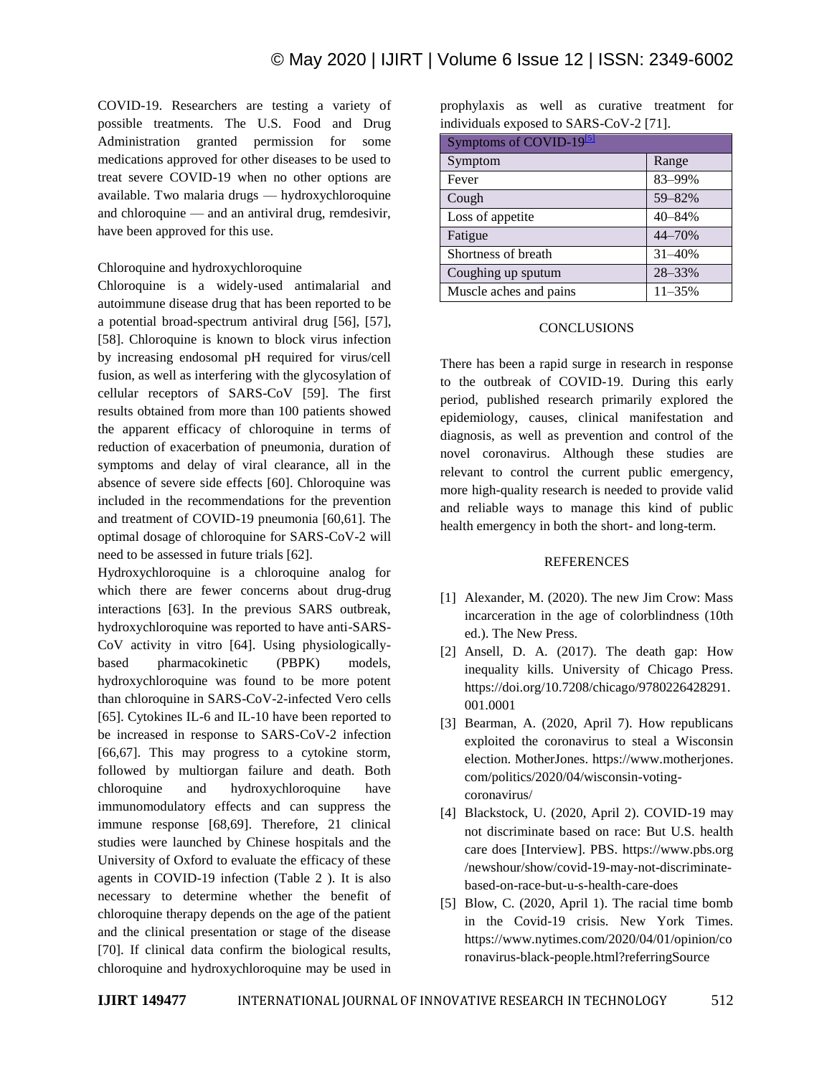COVID-19. Researchers are testing a variety of possible treatments. The U.S. Food and Drug Administration granted permission for some medications approved for other diseases to be used to treat severe COVID-19 when no other options are available. Two malaria drugs — hydroxychloroquine and chloroquine — and an antiviral drug, remdesivir, have been approved for this use.

## Chloroquine and hydroxychloroquine

Chloroquine is a widely-used antimalarial and autoimmune disease drug that has been reported to be a potential broad-spectrum antiviral drug [56], [57], [58]. Chloroquine is known to block virus infection by increasing endosomal pH required for virus/cell fusion, as well as interfering with the glycosylation of cellular receptors of SARS-CoV [59]. The first results obtained from more than 100 patients showed the apparent efficacy of chloroquine in terms of reduction of exacerbation of pneumonia, duration of symptoms and delay of viral clearance, all in the absence of severe side effects [60]. Chloroquine was included in the recommendations for the prevention and treatment of COVID-19 pneumonia [60,61]. The optimal dosage of chloroquine for SARS-CoV-2 will need to be assessed in future trials [62].

Hydroxychloroquine is a chloroquine analog for which there are fewer concerns about drug-drug interactions [63]. In the previous SARS outbreak, hydroxychloroquine was reported to have anti-SARS-CoV activity in vitro [64]. Using physiologicallybased pharmacokinetic (PBPK) models, hydroxychloroquine was found to be more potent than chloroquine in SARS-CoV-2-infected Vero cells [65]. Cytokines IL-6 and IL-10 have been reported to be increased in response to SARS-CoV-2 infection [66,67]. This may progress to a cytokine storm, followed by multiorgan failure and death. Both chloroquine and hydroxychloroquine have immunomodulatory effects and can suppress the immune response [68,69]. Therefore, 21 clinical studies were launched by Chinese hospitals and the University of Oxford to evaluate the efficacy of these agents in COVID-19 infection (Table 2 ). It is also necessary to determine whether the benefit of chloroquine therapy depends on the age of the patient and the clinical presentation or stage of the disease [70]. If clinical data confirm the biological results, chloroquine and hydroxychloroquine may be used in prophylaxis as well as curative treatment for individuals exposed to SARS-CoV-2 [71].

| Symptoms of COVID-19 <sup>[5]</sup> |            |
|-------------------------------------|------------|
| Symptom                             | Range      |
| Fever                               | 83-99%     |
| Cough                               | 59-82%     |
| Loss of appetite                    | 40-84%     |
| Fatigue                             | 44-70%     |
| Shortness of breath                 | 31-40%     |
| Coughing up sputum                  | 28-33%     |
| Muscle aches and pains              | $11 - 35%$ |

#### **CONCLUSIONS**

There has been a rapid surge in research in response to the outbreak of COVID-19. During this early period, published research primarily explored the epidemiology, causes, clinical manifestation and diagnosis, as well as prevention and control of the novel coronavirus. Although these studies are relevant to control the current public emergency, more high-quality research is needed to provide valid and reliable ways to manage this kind of public health emergency in both the short- and long-term.

#### REFERENCES

- [1] Alexander, M. (2020). The new Jim Crow: Mass incarceration in the age of colorblindness (10th ed.). The New Press.
- [2] Ansell, D. A. (2017). The death gap: How inequality kills. University of Chicago Press. https://doi.org/10.7208/chicago/9780226428291. 001.0001
- [3] Bearman, A. (2020, April 7). How republicans exploited the coronavirus to steal a Wisconsin election. MotherJones. https://www.motherjones. com/politics/2020/04/wisconsin-votingcoronavirus/
- [4] Blackstock, U. (2020, April 2). COVID-19 may not discriminate based on race: But U.S. health care does [Interview]. PBS. https://www.pbs.org /newshour/show/covid-19-may-not-discriminatebased-on-race-but-u-s-health-care-does
- [5] Blow, C. (2020, April 1). The racial time bomb in the Covid-19 crisis. New York Times. https://www.nytimes.com/2020/04/01/opinion/co ronavirus-black-people.html?referringSource